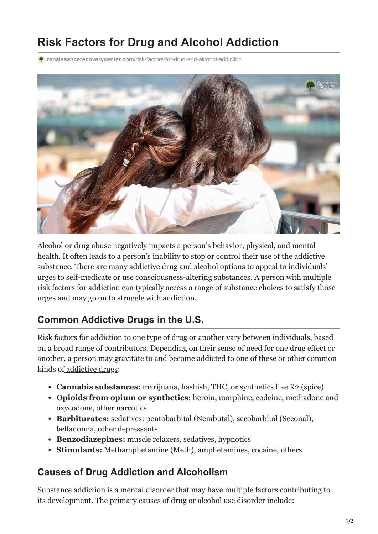# **Risk Factors for Drug and Alcohol Addiction**

**renaissancerecoverycenter.com**[/risk-factors-for-drug-and-alcohol-addiction](https://www.renaissancerecoverycenter.com/risk-factors-for-drug-and-alcohol-addiction/)



Alcohol or drug abuse negatively impacts a person's behavior, physical, and mental health. It often leads to a person's inability to stop or control their use of the addictive substance. There are many addictive drug and alcohol options to appeal to individuals' urges to self-medicate or use consciousness-altering substances. A person with multiple risk factors for [addiction](https://www.renaissancerecoverycenter.com/programs-and-services/) can typically access a range of substance choices to satisfy those urges and may go on to struggle with addiction.

#### **Common Addictive Drugs in the U.S.**

Risk factors for addiction to one type of drug or another vary between individuals, based on a broad range of contributors. Depending on their sense of need for one drug effect or another, a person may gravitate to and become addicted to one of these or other common kinds o[f addictive drugs](https://www.renaissancerecoverycenter.com/addiction/):

- **Cannabis substances:** marijuana, hashish, THC, or synthetics like K2 (spice)
- **Opioids from opium or synthetics:** heroin, morphine, codeine, methadone and oxycodone, other narcotics
- **Barbiturates:** sedatives: pentobarbital (Nembutal), secobarbital (Seconal), belladonna, other depressants
- **Benzodiazepines:** muscle relaxers, sedatives, hypnotics
- **Stimulants:** Methamphetamine (Meth), amphetamines, cocaine, others

#### **Causes of Drug Addiction and Alcoholism**

Substance addiction is a [mental disorder](https://www.renaissancerecoverycenter.com/outpatient-treatment/anxiety-depression-addiction/) that may have multiple factors contributing to its development. The primary causes of drug or alcohol use disorder include: